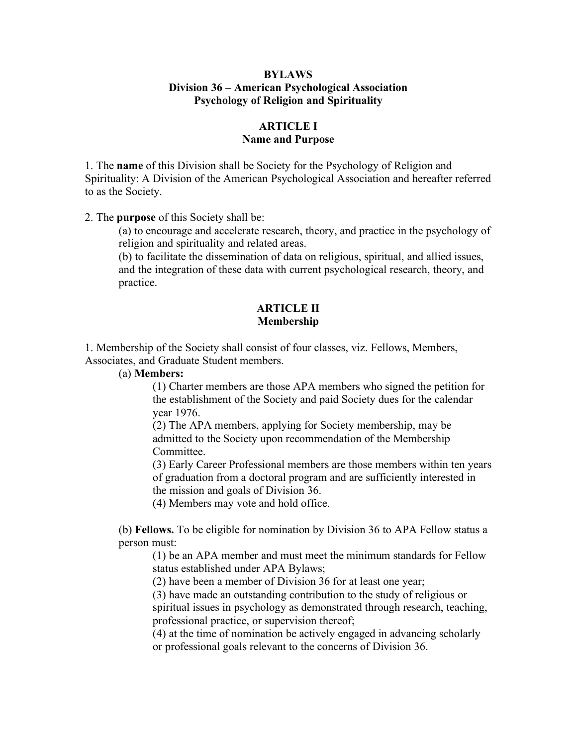### **BYLAWS Division 36 – American Psychological Association Psychology of Religion and Spirituality**

# **ARTICLE I Name and Purpose**

1. The **name** of this Division shall be Society for the Psychology of Religion and Spirituality: A Division of the American Psychological Association and hereafter referred to as the Society.

2. The **purpose** of this Society shall be:

(a) to encourage and accelerate research, theory, and practice in the psychology of religion and spirituality and related areas.

(b) to facilitate the dissemination of data on religious, spiritual, and allied issues, and the integration of these data with current psychological research, theory, and practice.

### **ARTICLE II Membership**

1. Membership of the Society shall consist of four classes, viz. Fellows, Members, Associates, and Graduate Student members.

(a) **Members:**

(1) Charter members are those APA members who signed the petition for the establishment of the Society and paid Society dues for the calendar year 1976.

(2) The APA members, applying for Society membership, may be admitted to the Society upon recommendation of the Membership Committee.

(3) Early Career Professional members are those members within ten years of graduation from a doctoral program and are sufficiently interested in the mission and goals of Division 36.

(4) Members may vote and hold office.

(b) **Fellows.** To be eligible for nomination by Division 36 to APA Fellow status a person must:

(1) be an APA member and must meet the minimum standards for Fellow status established under APA Bylaws;

(2) have been a member of Division 36 for at least one year;

(3) have made an outstanding contribution to the study of religious or spiritual issues in psychology as demonstrated through research, teaching, professional practice, or supervision thereof;

(4) at the time of nomination be actively engaged in advancing scholarly or professional goals relevant to the concerns of Division 36.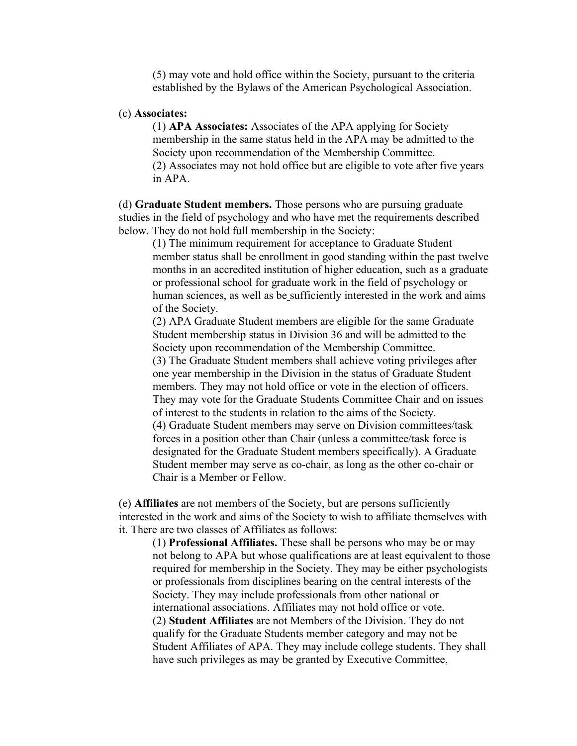(5) may vote and hold office within the Society, pursuant to the criteria established by the Bylaws of the American Psychological Association.

#### (c) **Associates:**

(1) **APA Associates:** Associates of the APA applying for Society membership in the same status held in the APA may be admitted to the Society upon recommendation of the Membership Committee. (2) Associates may not hold office but are eligible to vote after five years in APA.

(d) **Graduate Student members.** Those persons who are pursuing graduate studies in the field of psychology and who have met the requirements described below. They do not hold full membership in the Society:

(1) The minimum requirement for acceptance to Graduate Student member status shall be enrollment in good standing within the past twelve months in an accredited institution of higher education, such as a graduate or professional school for graduate work in the field of psychology or human sciences, as well as be sufficiently interested in the work and aims of the Society.

(2) APA Graduate Student members are eligible for the same Graduate Student membership status in Division 36 and will be admitted to the Society upon recommendation of the Membership Committee.

(3) The Graduate Student members shall achieve voting privileges after one year membership in the Division in the status of Graduate Student members. They may not hold office or vote in the election of officers. They may vote for the Graduate Students Committee Chair and on issues of interest to the students in relation to the aims of the Society. (4) Graduate Student members may serve on Division committees/task forces in a position other than Chair (unless a committee/task force is designated for the Graduate Student members specifically). A Graduate

Student member may serve as co-chair, as long as the other co-chair or Chair is a Member or Fellow.

(e) **Affiliates** are not members of the Society, but are persons sufficiently interested in the work and aims of the Society to wish to affiliate themselves with it. There are two classes of Affiliates as follows:

(1) **Professional Affiliates.** These shall be persons who may be or may not belong to APA but whose qualifications are at least equivalent to those required for membership in the Society. They may be either psychologists or professionals from disciplines bearing on the central interests of the Society. They may include professionals from other national or international associations. Affiliates may not hold office or vote*.* (2) **Student Affiliates** are not Members of the Division. They do not qualify for the Graduate Students member category and may not be Student Affiliates of APA. They may include college students. They shall have such privileges as may be granted by Executive Committee,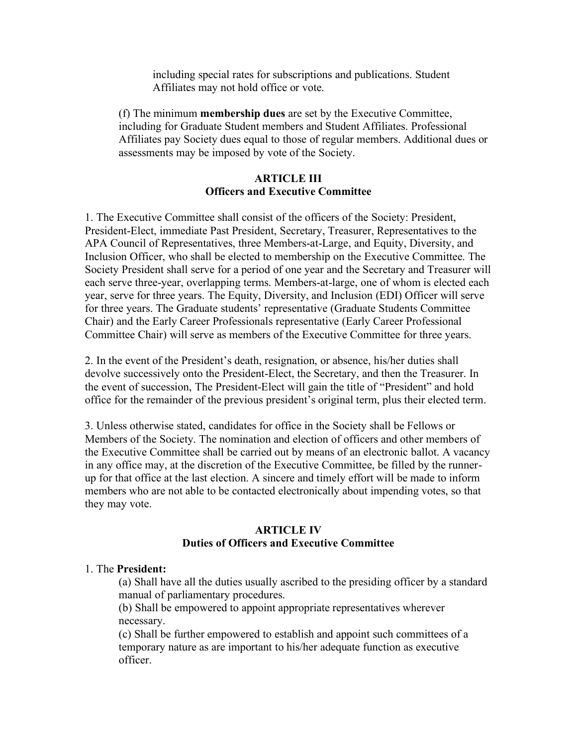including special rates for subscriptions and publications. Student Affiliates may not hold office or vote.

(f) The minimum **membership dues** are set by the Executive Committee, including for Graduate Student members and Student Affiliates. Professional Affiliates pay Society dues equal to those of regular members. Additional dues or assessments may be imposed by vote of the Society.

### **ARTICLE III Officers and Executive Committee**

1. The Executive Committee shall consist of the officers of the Society: President, President-Elect, immediate Past President, Secretary, Treasurer, Representatives to the APA Council of Representatives, three Members-at-Large, and Equity, Diversity, and Inclusion Officer, who shall be elected to membership on the Executive Committee. The Society President shall serve for a period of one year and the Secretary and Treasurer will each serve three-year, overlapping terms. Members-at-large, one of whom is elected each year, serve for three years. The Equity, Diversity, and Inclusion (EDI) Officer will serve for three years. The Graduate students' representative (Graduate Students Committee Chair) and the Early Career Professionals representative (Early Career Professional Committee Chair) will serve as members of the Executive Committee for three years.

2. In the event of the President's death, resignation, or absence, his/her duties shall devolve successively onto the President-Elect, the Secretary, and then the Treasurer. In the event of succession, The President-Elect will gain the title of "President" and hold office for the remainder of the previous president's original term, plus their elected term.

3. Unless otherwise stated, candidates for office in the Society shall be Fellows or Members of the Society. The nomination and election of officers and other members of the Executive Committee shall be carried out by means of an electronic ballot. A vacancy in any office may, at the discretion of the Executive Committee, be filled by the runnerup for that office at the last election. A sincere and timely effort will be made to inform members who are not able to be contacted electronically about impending votes, so that they may vote.

## **ARTICLE IV Duties of Officers and Executive Committee**

#### 1. The **President:**

(a) Shall have all the duties usually ascribed to the presiding officer by a standard manual of parliamentary procedures.

(b) Shall be empowered to appoint appropriate representatives wherever necessary.

(c) Shall be further empowered to establish and appoint such committees of a temporary nature as are important to his/her adequate function as executive officer.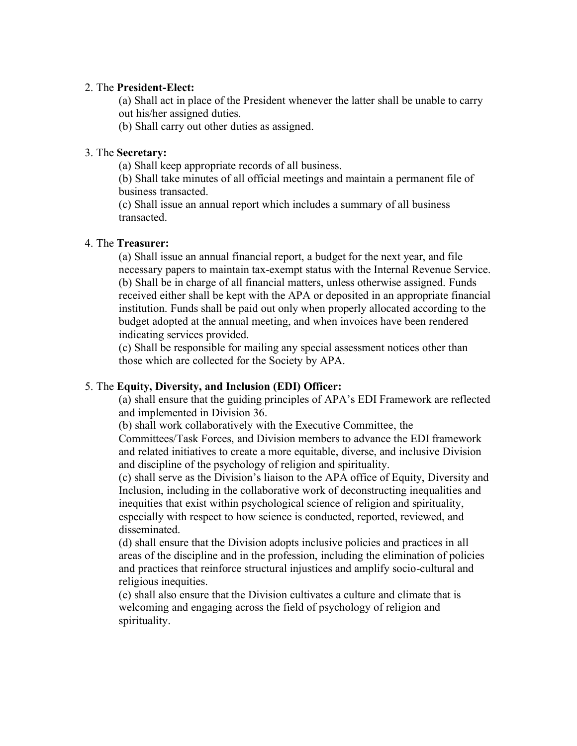#### 2. The **President-Elect:**

(a) Shall act in place of the President whenever the latter shall be unable to carry out his/her assigned duties.

(b) Shall carry out other duties as assigned.

#### 3. The **Secretary:**

(a) Shall keep appropriate records of all business.

(b) Shall take minutes of all official meetings and maintain a permanent file of business transacted.

(c) Shall issue an annual report which includes a summary of all business transacted.

### 4. The **Treasurer:**

(a) Shall issue an annual financial report, a budget for the next year, and file necessary papers to maintain tax-exempt status with the Internal Revenue Service. (b) Shall be in charge of all financial matters, unless otherwise assigned. Funds received either shall be kept with the APA or deposited in an appropriate financial institution. Funds shall be paid out only when properly allocated according to the budget adopted at the annual meeting, and when invoices have been rendered indicating services provided.

(c) Shall be responsible for mailing any special assessment notices other than those which are collected for the Society by APA.

#### 5. The **Equity, Diversity, and Inclusion (EDI) Officer:**

(a) shall ensure that the guiding principles of APA's EDI Framework are reflected and implemented in Division 36.

(b) shall work collaboratively with the Executive Committee, the Committees/Task Forces, and Division members to advance the EDI framework and related initiatives to create a more equitable, diverse, and inclusive Division and discipline of the psychology of religion and spirituality.

(c) shall serve as the Division's liaison to the APA office of Equity, Diversity and Inclusion, including in the collaborative work of deconstructing inequalities and inequities that exist within psychological science of religion and spirituality, especially with respect to how science is conducted, reported, reviewed, and disseminated.

(d) shall ensure that the Division adopts inclusive policies and practices in all areas of the discipline and in the profession, including the elimination of policies and practices that reinforce structural injustices and amplify socio-cultural and religious inequities.

(e) shall also ensure that the Division cultivates a culture and climate that is welcoming and engaging across the field of psychology of religion and spirituality.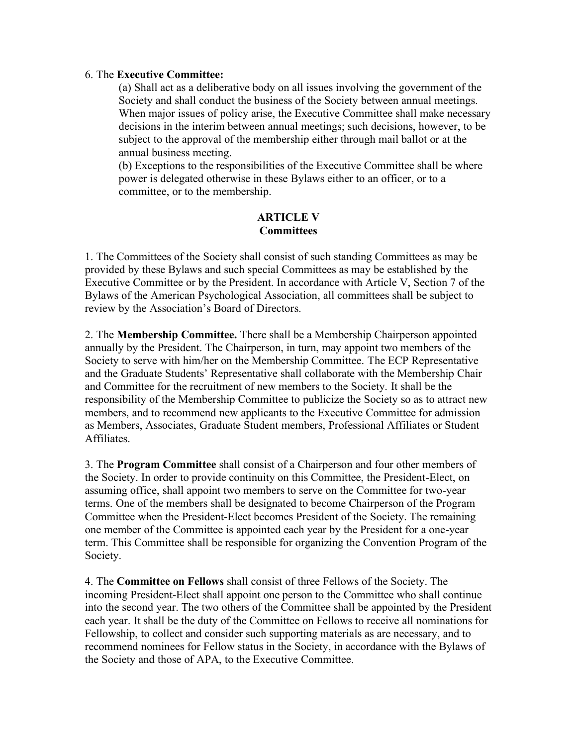#### 6. The **Executive Committee:**

(a) Shall act as a deliberative body on all issues involving the government of the Society and shall conduct the business of the Society between annual meetings. When major issues of policy arise, the Executive Committee shall make necessary decisions in the interim between annual meetings; such decisions, however, to be subject to the approval of the membership either through mail ballot or at the annual business meeting.

(b) Exceptions to the responsibilities of the Executive Committee shall be where power is delegated otherwise in these Bylaws either to an officer, or to a committee, or to the membership.

### **ARTICLE V Committees**

1. The Committees of the Society shall consist of such standing Committees as may be provided by these Bylaws and such special Committees as may be established by the Executive Committee or by the President. In accordance with Article V, Section 7 of the Bylaws of the American Psychological Association, all committees shall be subject to review by the Association's Board of Directors.

2. The **Membership Committee.** There shall be a Membership Chairperson appointed annually by the President. The Chairperson, in turn, may appoint two members of the Society to serve with him/her on the Membership Committee. The ECP Representative and the Graduate Students' Representative shall collaborate with the Membership Chair and Committee for the recruitment of new members to the Society. It shall be the responsibility of the Membership Committee to publicize the Society so as to attract new members, and to recommend new applicants to the Executive Committee for admission as Members, Associates, Graduate Student members, Professional Affiliates or Student Affiliates.

3. The **Program Committee** shall consist of a Chairperson and four other members of the Society. In order to provide continuity on this Committee, the President-Elect, on assuming office, shall appoint two members to serve on the Committee for two-year terms. One of the members shall be designated to become Chairperson of the Program Committee when the President-Elect becomes President of the Society. The remaining one member of the Committee is appointed each year by the President for a one-year term. This Committee shall be responsible for organizing the Convention Program of the Society.

4. The **Committee on Fellows** shall consist of three Fellows of the Society. The incoming President-Elect shall appoint one person to the Committee who shall continue into the second year. The two others of the Committee shall be appointed by the President each year. It shall be the duty of the Committee on Fellows to receive all nominations for Fellowship, to collect and consider such supporting materials as are necessary, and to recommend nominees for Fellow status in the Society, in accordance with the Bylaws of the Society and those of APA, to the Executive Committee.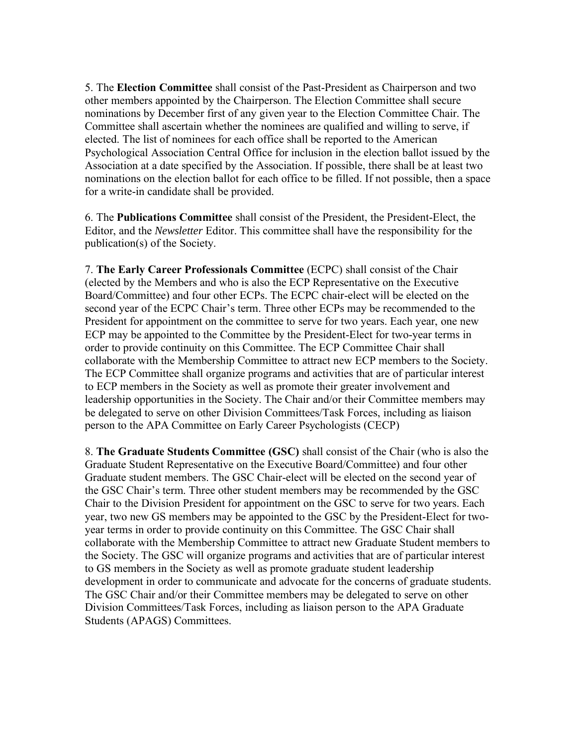5. The **Election Committee** shall consist of the Past-President as Chairperson and two other members appointed by the Chairperson. The Election Committee shall secure nominations by December first of any given year to the Election Committee Chair. The Committee shall ascertain whether the nominees are qualified and willing to serve, if elected. The list of nominees for each office shall be reported to the American Psychological Association Central Office for inclusion in the election ballot issued by the Association at a date specified by the Association. If possible, there shall be at least two nominations on the election ballot for each office to be filled. If not possible, then a space for a write-in candidate shall be provided.

6. The **Publications Committee** shall consist of the President, the President-Elect, the Editor, and the *Newsletter* Editor. This committee shall have the responsibility for the publication(s) of the Society.

7. **The Early Career Professionals Committee** (ECPC) shall consist of the Chair (elected by the Members and who is also the ECP Representative on the Executive Board/Committee) and four other ECPs. The ECPC chair-elect will be elected on the second year of the ECPC Chair's term. Three other ECPs may be recommended to the President for appointment on the committee to serve for two years. Each year, one new ECP may be appointed to the Committee by the President-Elect for two-year terms in order to provide continuity on this Committee. The ECP Committee Chair shall collaborate with the Membership Committee to attract new ECP members to the Society. The ECP Committee shall organize programs and activities that are of particular interest to ECP members in the Society as well as promote their greater involvement and leadership opportunities in the Society. The Chair and/or their Committee members may be delegated to serve on other Division Committees/Task Forces, including as liaison person to the APA Committee on Early Career Psychologists (CECP)

8. **The Graduate Students Committee (GSC)** shall consist of the Chair (who is also the Graduate Student Representative on the Executive Board/Committee) and four other Graduate student members. The GSC Chair-elect will be elected on the second year of the GSC Chair's term. Three other student members may be recommended by the GSC Chair to the Division President for appointment on the GSC to serve for two years. Each year, two new GS members may be appointed to the GSC by the President-Elect for twoyear terms in order to provide continuity on this Committee. The GSC Chair shall collaborate with the Membership Committee to attract new Graduate Student members to the Society. The GSC will organize programs and activities that are of particular interest to GS members in the Society as well as promote graduate student leadership development in order to communicate and advocate for the concerns of graduate students. The GSC Chair and/or their Committee members may be delegated to serve on other Division Committees/Task Forces, including as liaison person to the APA Graduate Students (APAGS) Committees.